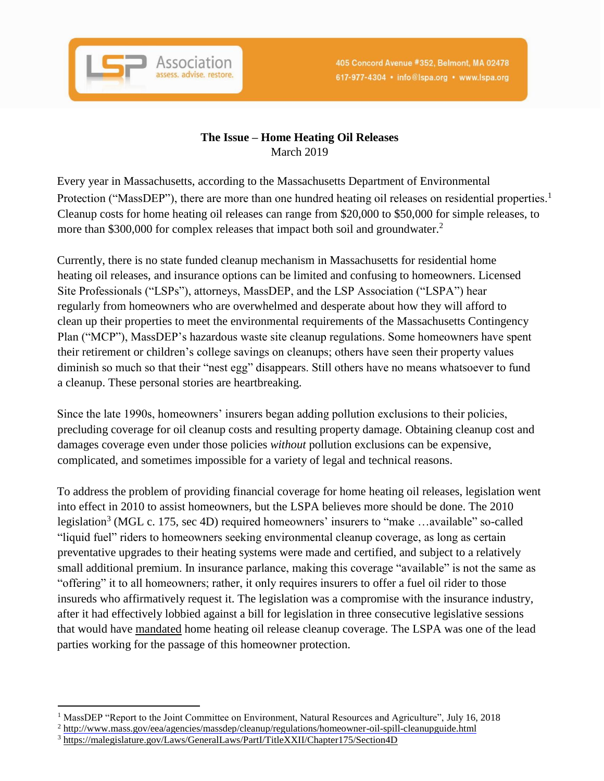

## **The Issue – Home Heating Oil Releases**  March 2019

Every year in Massachusetts, according to the Massachusetts Department of Environmental Protection ("MassDEP"), there are more than one hundred heating oil releases on residential properties.<sup>1</sup> Cleanup costs for home heating oil releases can range from \$20,000 to \$50,000 for simple releases, to more than \$300,000 for complex releases that impact both soil and groundwater.<sup>2</sup>

Currently, there is no state funded cleanup mechanism in Massachusetts for residential home heating oil releases, and insurance options can be limited and confusing to homeowners. Licensed Site Professionals ("LSPs"), attorneys, MassDEP, and the LSP Association ("LSPA") hear regularly from homeowners who are overwhelmed and desperate about how they will afford to clean up their properties to meet the environmental requirements of the Massachusetts Contingency Plan ("MCP"), MassDEP's hazardous waste site cleanup regulations. Some homeowners have spent their retirement or children's college savings on cleanups; others have seen their property values diminish so much so that their "nest egg" disappears. Still others have no means whatsoever to fund a cleanup. These personal stories are heartbreaking.

Since the late 1990s, homeowners' insurers began adding pollution exclusions to their policies, precluding coverage for oil cleanup costs and resulting property damage. Obtaining cleanup cost and damages coverage even under those policies *without* pollution exclusions can be expensive, complicated, and sometimes impossible for a variety of legal and technical reasons.

To address the problem of providing financial coverage for home heating oil releases, legislation went into effect in 2010 to assist homeowners, but the LSPA believes more should be done. The 2010 legislation<sup>3</sup> (MGL c. 175, sec 4D) required homeowners' insurers to "make ...available" so-called "liquid fuel" riders to homeowners seeking environmental cleanup coverage, as long as certain preventative upgrades to their heating systems were made and certified, and subject to a relatively small additional premium. In insurance parlance, making this coverage "available" is not the same as "offering" it to all homeowners; rather, it only requires insurers to offer a fuel oil rider to those insureds who affirmatively request it. The legislation was a compromise with the insurance industry, after it had effectively lobbied against a bill for legislation in three consecutive legislative sessions that would have mandated home heating oil release cleanup coverage. The LSPA was one of the lead parties working for the passage of this homeowner protection.

 $\overline{a}$ <sup>1</sup> MassDEP "Report to the Joint Committee on Environment, Natural Resources and Agriculture", July 16, 2018

<sup>&</sup>lt;sup>2</sup> http://www.mass.gov/eea/agencies/massdep/cleanup/regulations/homeowner-oil-spill-cleanupguide.html

<sup>3</sup> <https://malegislature.gov/Laws/GeneralLaws/PartI/TitleXXII/Chapter175/Section4D>